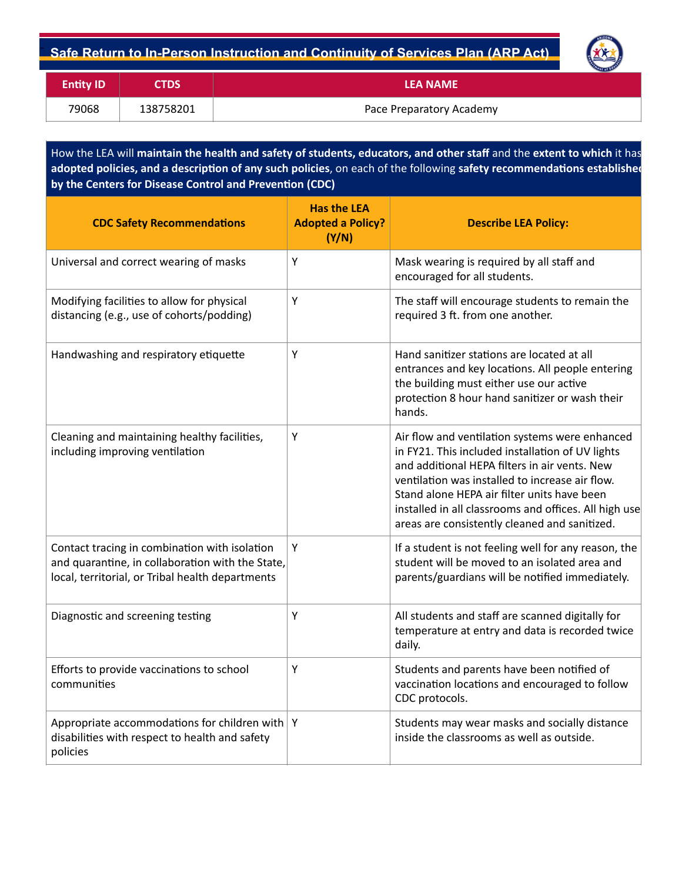## **Safe Return to In-Person Instruction and Continuity of Services Plan (ARP Act)** -

| <b>RIZONA</b>                          |
|----------------------------------------|
|                                        |
|                                        |
| <b><i><u>EXTINGUL OF EQUE.</u></i></b> |
|                                        |

| <b>Entity ID</b> | <b>CTDS</b> | <b>LEA NAME</b>          |
|------------------|-------------|--------------------------|
| 79068            | 138758201   | Pace Preparatory Academy |

How the LEA will maintain the health and safety of students, educators, and other staff and the extent to which it has adopted policies, and a description of any such policies, on each of the following safety recommendations established by the Centers for Disease Control and Prevention (CDC)

| <b>CDC Safety Recommendations</b>                                                                                                                     | <b>Has the LEA</b><br><b>Adopted a Policy?</b><br>(Y/N) | <b>Describe LEA Policy:</b>                                                                                                                                                                                                                                                                                                                                     |
|-------------------------------------------------------------------------------------------------------------------------------------------------------|---------------------------------------------------------|-----------------------------------------------------------------------------------------------------------------------------------------------------------------------------------------------------------------------------------------------------------------------------------------------------------------------------------------------------------------|
| Universal and correct wearing of masks                                                                                                                | Υ                                                       | Mask wearing is required by all staff and<br>encouraged for all students.                                                                                                                                                                                                                                                                                       |
| Modifying facilities to allow for physical<br>distancing (e.g., use of cohorts/podding)                                                               | Υ                                                       | The staff will encourage students to remain the<br>required 3 ft. from one another.                                                                                                                                                                                                                                                                             |
| Handwashing and respiratory etiquette                                                                                                                 | Υ                                                       | Hand sanitizer stations are located at all<br>entrances and key locations. All people entering<br>the building must either use our active<br>protection 8 hour hand sanitizer or wash their<br>hands.                                                                                                                                                           |
| Cleaning and maintaining healthy facilities,<br>including improving ventilation                                                                       | Υ                                                       | Air flow and ventilation systems were enhanced<br>in FY21. This included installation of UV lights<br>and additional HEPA filters in air vents. New<br>ventilation was installed to increase air flow.<br>Stand alone HEPA air filter units have been<br>installed in all classrooms and offices. All high use<br>areas are consistently cleaned and sanitized. |
| Contact tracing in combination with isolation<br>and quarantine, in collaboration with the State,<br>local, territorial, or Tribal health departments | Υ                                                       | If a student is not feeling well for any reason, the<br>student will be moved to an isolated area and<br>parents/guardians will be notified immediately.                                                                                                                                                                                                        |
| Diagnostic and screening testing                                                                                                                      | Υ                                                       | All students and staff are scanned digitally for<br>temperature at entry and data is recorded twice<br>daily.                                                                                                                                                                                                                                                   |
| Efforts to provide vaccinations to school<br>communities                                                                                              | Υ                                                       | Students and parents have been notified of<br>vaccination locations and encouraged to follow<br>CDC protocols.                                                                                                                                                                                                                                                  |
| Appropriate accommodations for children with $ Y $<br>disabilities with respect to health and safety<br>policies                                      |                                                         | Students may wear masks and socially distance<br>inside the classrooms as well as outside.                                                                                                                                                                                                                                                                      |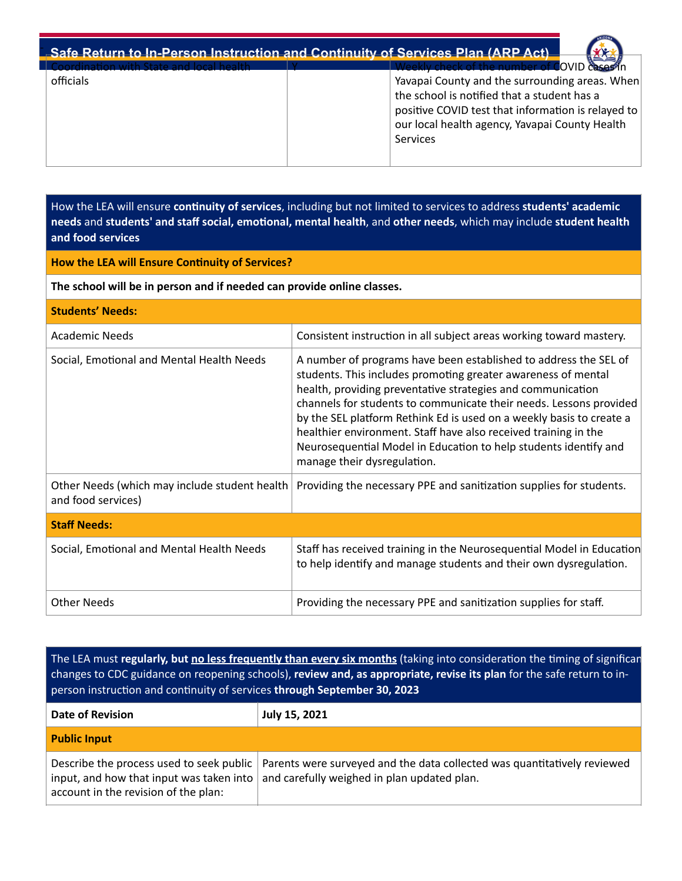## **Safe Return to In-Person Instruction and Continuity of Services Plan (ARP Act)** - Coordination with State and local health



officials

Yavapai County and the surrounding areas. When the school is notified that a student has a positive COVID test that information is relayed to our local health agency, Yavapai County Health **Services** 

How the LEA will ensure **continuity of services**, including but not limited to services to address students' academic needs and students' and staff social, emotional, mental health, and other needs, which may include student health **and food services**

## **How the LEA will Ensure Continuity of Services?**

The school will be in person and if needed can provide online classes.

| <b>Students' Needs:</b>                                             |                                                                                                                                                                                                                                                                                                                                                                                                                                                                                                                      |  |  |  |
|---------------------------------------------------------------------|----------------------------------------------------------------------------------------------------------------------------------------------------------------------------------------------------------------------------------------------------------------------------------------------------------------------------------------------------------------------------------------------------------------------------------------------------------------------------------------------------------------------|--|--|--|
| Academic Needs                                                      | Consistent instruction in all subject areas working toward mastery.                                                                                                                                                                                                                                                                                                                                                                                                                                                  |  |  |  |
| Social, Emotional and Mental Health Needs                           | A number of programs have been established to address the SEL of<br>students. This includes promoting greater awareness of mental<br>health, providing preventative strategies and communication<br>channels for students to communicate their needs. Lessons provided<br>by the SEL platform Rethink Ed is used on a weekly basis to create a<br>healthier environment. Staff have also received training in the<br>Neurosequential Model in Education to help students identify and<br>manage their dysregulation. |  |  |  |
| Other Needs (which may include student health<br>and food services) | Providing the necessary PPE and sanitization supplies for students.                                                                                                                                                                                                                                                                                                                                                                                                                                                  |  |  |  |
| <b>Staff Needs:</b>                                                 |                                                                                                                                                                                                                                                                                                                                                                                                                                                                                                                      |  |  |  |
| Social, Emotional and Mental Health Needs                           | Staff has received training in the Neurosequential Model in Education<br>to help identify and manage students and their own dysregulation.                                                                                                                                                                                                                                                                                                                                                                           |  |  |  |
| <b>Other Needs</b>                                                  | Providing the necessary PPE and sanitization supplies for staff.                                                                                                                                                                                                                                                                                                                                                                                                                                                     |  |  |  |

The LEA must regularly, but no less frequently than every six months (taking into consideration the timing of significan changes to CDC guidance on reopening schools), review and, as appropriate, revise its plan for the safe return to inperson instruction and continuity of services through September 30, 2023

| <b>Date of Revision</b>              | July 15, 2021                                                                                                                                                                                                   |
|--------------------------------------|-----------------------------------------------------------------------------------------------------------------------------------------------------------------------------------------------------------------|
| <b>Public Input</b>                  |                                                                                                                                                                                                                 |
| account in the revision of the plan: | Describe the process used to seek public   Parents were surveyed and the data collected was quantitatively reviewed<br>input, and how that input was taken into $ $ and carefully weighed in plan updated plan. |